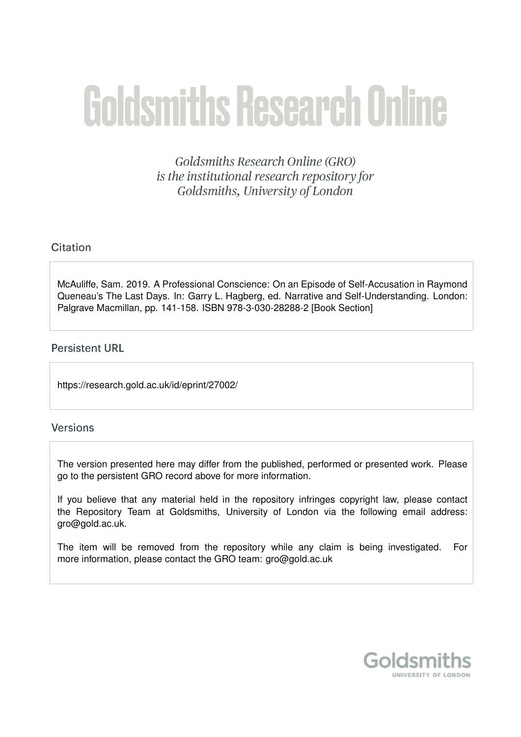# Goldsmiths Research Online

Goldsmiths Research Online (GRO) is the institutional research repository for Goldsmiths, University of London

# Citation

McAuliffe, Sam. 2019. A Professional Conscience: On an Episode of Self-Accusation in Raymond Queneau's The Last Days. In: Garry L. Hagberg, ed. Narrative and Self-Understanding. London: Palgrave Macmillan, pp. 141-158. ISBN 978-3-030-28288-2 [Book Section]

# **Persistent URL**

https://research.gold.ac.uk/id/eprint/27002/

## **Versions**

The version presented here may differ from the published, performed or presented work. Please go to the persistent GRO record above for more information.

If you believe that any material held in the repository infringes copyright law, please contact the Repository Team at Goldsmiths, University of London via the following email address: gro@gold.ac.uk.

The item will be removed from the repository while any claim is being investigated. For more information, please contact the GRO team: gro@gold.ac.uk

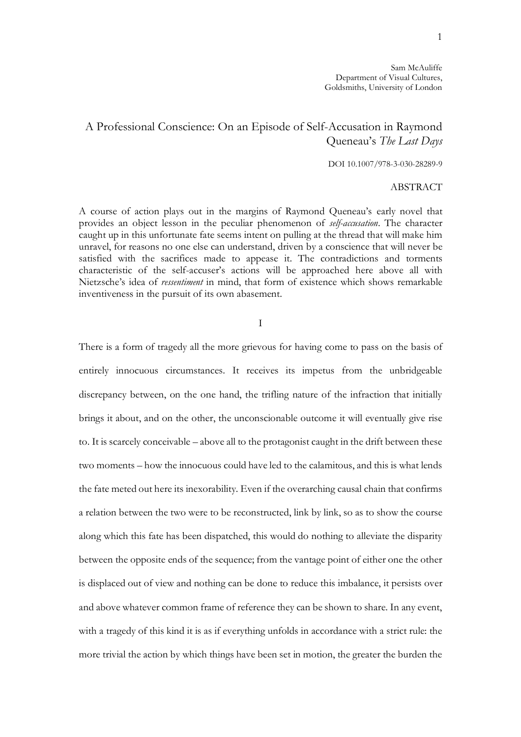Sam McAuliffe Department of Visual Cultures, Goldsmiths, University of London

## A Professional Conscience: On an Episode of Self-Accusation in Raymond Queneau's *The Last Days*

DOI 10.1007/978-3-030-28289-9

## ABSTRACT

A course of action plays out in the margins of Raymond Queneau's early novel that provides an object lesson in the peculiar phenomenon of *self-accusation*. The character caught up in this unfortunate fate seems intent on pulling at the thread that will make him unravel, for reasons no one else can understand, driven by a conscience that will never be satisfied with the sacrifices made to appease it. The contradictions and torments characteristic of the self-accuser's actions will be approached here above all with Nietzsche's idea of *ressentiment* in mind, that form of existence which shows remarkable inventiveness in the pursuit of its own abasement.

I

There is a form of tragedy all the more grievous for having come to pass on the basis of entirely innocuous circumstances. It receives its impetus from the unbridgeable discrepancy between, on the one hand, the trifling nature of the infraction that initially brings it about, and on the other, the unconscionable outcome it will eventually give rise to. It is scarcely conceivable – above all to the protagonist caught in the drift between these two moments – how the innocuous could have led to the calamitous, and this is what lends the fate meted out here its inexorability. Even if the overarching causal chain that confirms a relation between the two were to be reconstructed, link by link, so as to show the course along which this fate has been dispatched, this would do nothing to alleviate the disparity between the opposite ends of the sequence; from the vantage point of either one the other is displaced out of view and nothing can be done to reduce this imbalance, it persists over and above whatever common frame of reference they can be shown to share. In any event, with a tragedy of this kind it is as if everything unfolds in accordance with a strict rule: the more trivial the action by which things have been set in motion, the greater the burden the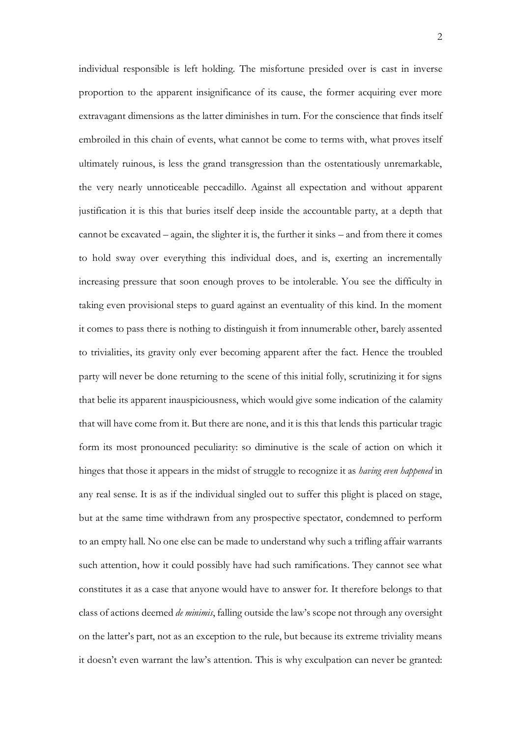individual responsible is left holding. The misfortune presided over is cast in inverse proportion to the apparent insignificance of its cause, the former acquiring ever more extravagant dimensions as the latter diminishes in turn. For the conscience that finds itself embroiled in this chain of events, what cannot be come to terms with, what proves itself ultimately ruinous, is less the grand transgression than the ostentatiously unremarkable, the very nearly unnoticeable peccadillo. Against all expectation and without apparent justification it is this that buries itself deep inside the accountable party, at a depth that cannot be excavated – again, the slighter it is, the further it sinks – and from there it comes to hold sway over everything this individual does, and is, exerting an incrementally increasing pressure that soon enough proves to be intolerable. You see the difficulty in taking even provisional steps to guard against an eventuality of this kind. In the moment it comes to pass there is nothing to distinguish it from innumerable other, barely assented to trivialities, its gravity only ever becoming apparent after the fact. Hence the troubled party will never be done returning to the scene of this initial folly, scrutinizing it for signs that belie its apparent inauspiciousness, which would give some indication of the calamity that will have come from it. But there are none, and it is this that lends this particular tragic form its most pronounced peculiarity: so diminutive is the scale of action on which it hinges that those it appears in the midst of struggle to recognize it as *having even happened* in any real sense. It is as if the individual singled out to suffer this plight is placed on stage, but at the same time withdrawn from any prospective spectator, condemned to perform to an empty hall. No one else can be made to understand why such a trifling affair warrants such attention, how it could possibly have had such ramifications. They cannot see what constitutes it as a case that anyone would have to answer for. It therefore belongs to that class of actions deemed *de minimis*, falling outside the law's scope not through any oversight on the latter's part, not as an exception to the rule, but because its extreme triviality means it doesn't even warrant the law's attention. This is why exculpation can never be granted: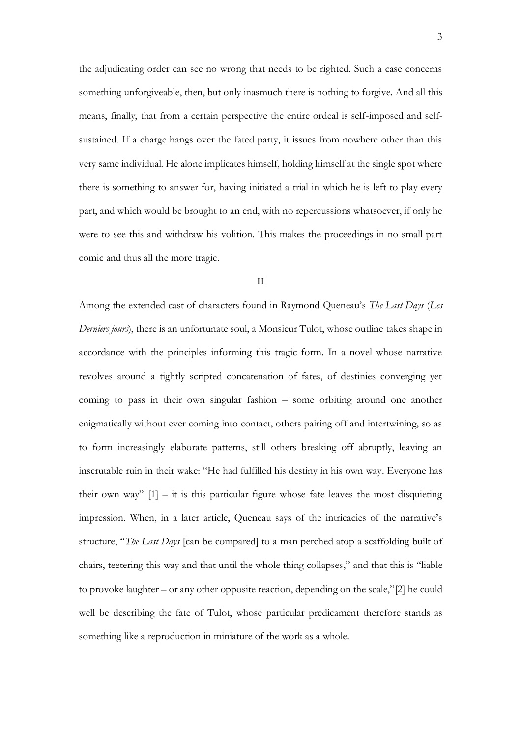the adjudicating order can see no wrong that needs to be righted. Such a case concerns something unforgiveable, then, but only inasmuch there is nothing to forgive. And all this means, finally, that from a certain perspective the entire ordeal is self-imposed and selfsustained. If a charge hangs over the fated party, it issues from nowhere other than this very same individual. He alone implicates himself, holding himself at the single spot where there is something to answer for, having initiated a trial in which he is left to play every part, and which would be brought to an end, with no repercussions whatsoever, if only he were to see this and withdraw his volition. This makes the proceedings in no small part comic and thus all the more tragic.

## II

Among the extended cast of characters found in Raymond Queneau's *The Last Days* (*Les Derniers jours*), there is an unfortunate soul, a Monsieur Tulot, whose outline takes shape in accordance with the principles informing this tragic form. In a novel whose narrative revolves around a tightly scripted concatenation of fates, of destinies converging yet coming to pass in their own singular fashion – some orbiting around one another enigmatically without ever coming into contact, others pairing off and intertwining, so as to form increasingly elaborate patterns, still others breaking off abruptly, leaving an inscrutable ruin in their wake: "He had fulfilled his destiny in his own way. Everyone has their own way"  $[1]$  – it is this particular figure whose fate leaves the most disquieting impression. When, in a later article, Queneau says of the intricacies of the narrative's structure, "*The Last Days* [can be compared] to a man perched atop a scaffolding built of chairs, teetering this way and that until the whole thing collapses," and that this is "liable to provoke laughter – or any other opposite reaction, depending on the scale,"[2] he could well be describing the fate of Tulot, whose particular predicament therefore stands as something like a reproduction in miniature of the work as a whole.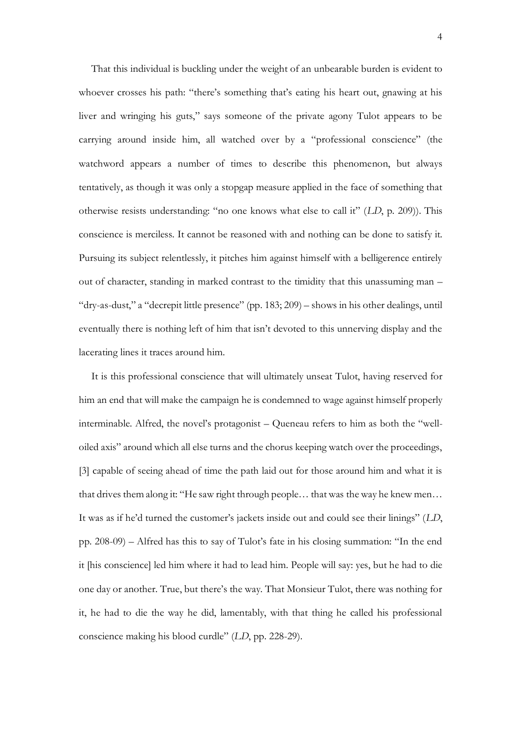That this individual is buckling under the weight of an unbearable burden is evident to whoever crosses his path: "there's something that's eating his heart out, gnawing at his liver and wringing his guts," says someone of the private agony Tulot appears to be carrying around inside him, all watched over by a "professional conscience" (the watchword appears a number of times to describe this phenomenon, but always tentatively, as though it was only a stopgap measure applied in the face of something that otherwise resists understanding: "no one knows what else to call it" (*LD*, p. 209)). This conscience is merciless. It cannot be reasoned with and nothing can be done to satisfy it. Pursuing its subject relentlessly, it pitches him against himself with a belligerence entirely out of character, standing in marked contrast to the timidity that this unassuming man – "dry-as-dust," a "decrepit little presence" (pp. 183; 209) – shows in his other dealings, until eventually there is nothing left of him that isn't devoted to this unnerving display and the lacerating lines it traces around him.

It is this professional conscience that will ultimately unseat Tulot, having reserved for him an end that will make the campaign he is condemned to wage against himself properly interminable. Alfred, the novel's protagonist – Queneau refers to him as both the "welloiled axis" around which all else turns and the chorus keeping watch over the proceedings, [3] capable of seeing ahead of time the path laid out for those around him and what it is that drives them along it: "He saw right through people… that was the way he knew men… It was as if he'd turned the customer's jackets inside out and could see their linings" (*LD*, pp. 208-09) – Alfred has this to say of Tulot's fate in his closing summation: "In the end it [his conscience] led him where it had to lead him. People will say: yes, but he had to die one day or another. True, but there's the way. That Monsieur Tulot, there was nothing for it, he had to die the way he did, lamentably, with that thing he called his professional conscience making his blood curdle" (*LD*, pp. 228-29).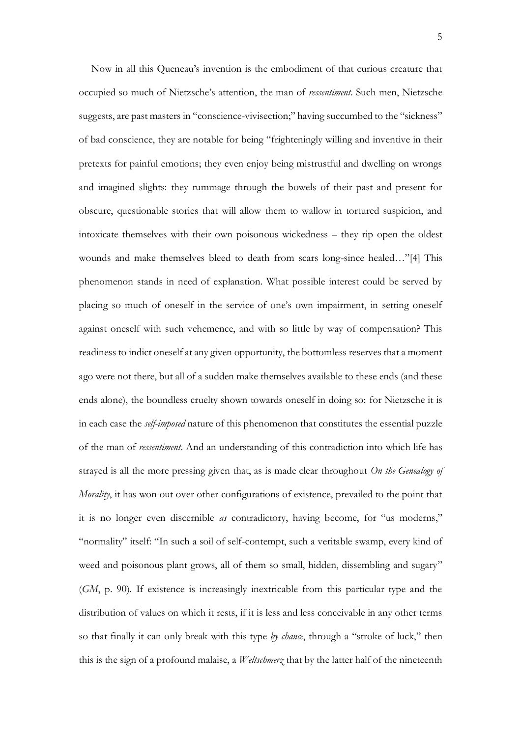Now in all this Queneau's invention is the embodiment of that curious creature that occupied so much of Nietzsche's attention, the man of *ressentiment*. Such men, Nietzsche suggests, are past masters in "conscience-vivisection;" having succumbed to the "sickness" of bad conscience, they are notable for being "frighteningly willing and inventive in their pretexts for painful emotions; they even enjoy being mistrustful and dwelling on wrongs and imagined slights: they rummage through the bowels of their past and present for obscure, questionable stories that will allow them to wallow in tortured suspicion, and intoxicate themselves with their own poisonous wickedness – they rip open the oldest wounds and make themselves bleed to death from scars long-since healed…"[4] This phenomenon stands in need of explanation. What possible interest could be served by placing so much of oneself in the service of one's own impairment, in setting oneself against oneself with such vehemence, and with so little by way of compensation? This readiness to indict oneself at any given opportunity, the bottomless reserves that a moment ago were not there, but all of a sudden make themselves available to these ends (and these ends alone), the boundless cruelty shown towards oneself in doing so: for Nietzsche it is in each case the *self-imposed* nature of this phenomenon that constitutes the essential puzzle of the man of *ressentiment*. And an understanding of this contradiction into which life has strayed is all the more pressing given that, as is made clear throughout *On the Genealogy of Morality*, it has won out over other configurations of existence, prevailed to the point that it is no longer even discernible *as* contradictory, having become, for "us moderns," "normality" itself: "In such a soil of self-contempt, such a veritable swamp, every kind of weed and poisonous plant grows, all of them so small, hidden, dissembling and sugary" (*GM*, p. 90). If existence is increasingly inextricable from this particular type and the distribution of values on which it rests, if it is less and less conceivable in any other terms so that finally it can only break with this type *by chance*, through a "stroke of luck," then this is the sign of a profound malaise, a *Weltschmerz* that by the latter half of the nineteenth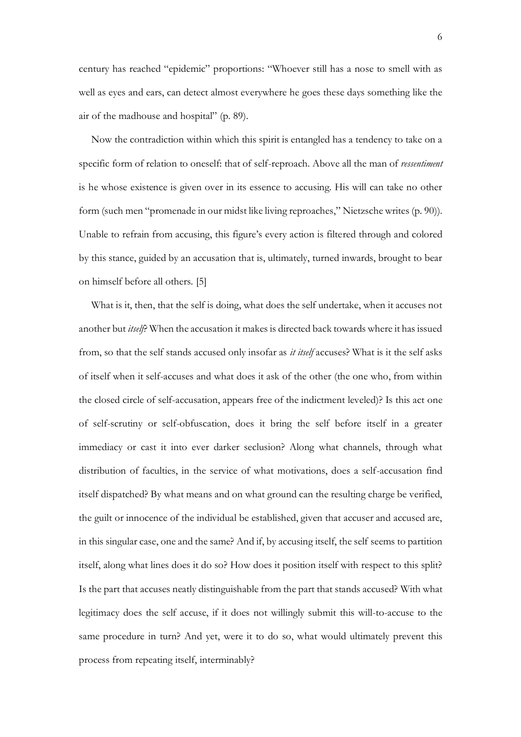century has reached "epidemic" proportions: "Whoever still has a nose to smell with as well as eyes and ears, can detect almost everywhere he goes these days something like the air of the madhouse and hospital" (p. 89).

Now the contradiction within which this spirit is entangled has a tendency to take on a specific form of relation to oneself: that of self-reproach. Above all the man of *ressentiment* is he whose existence is given over in its essence to accusing. His will can take no other form (such men "promenade in our midst like living reproaches," Nietzsche writes (p. 90)). Unable to refrain from accusing, this figure's every action is filtered through and colored by this stance, guided by an accusation that is, ultimately, turned inwards, brought to bear on himself before all others. [5]

What is it, then, that the self is doing, what does the self undertake, when it accuses not another but *itself*? When the accusation it makes is directed back towards where it has issued from, so that the self stands accused only insofar as *it itself* accuses? What is it the self asks of itself when it self-accuses and what does it ask of the other (the one who, from within the closed circle of self-accusation, appears free of the indictment leveled)? Is this act one of self-scrutiny or self-obfuscation, does it bring the self before itself in a greater immediacy or cast it into ever darker seclusion? Along what channels, through what distribution of faculties, in the service of what motivations, does a self-accusation find itself dispatched? By what means and on what ground can the resulting charge be verified, the guilt or innocence of the individual be established, given that accuser and accused are, in this singular case, one and the same? And if, by accusing itself, the self seems to partition itself, along what lines does it do so? How does it position itself with respect to this split? Is the part that accuses neatly distinguishable from the part that stands accused? With what legitimacy does the self accuse, if it does not willingly submit this will-to-accuse to the same procedure in turn? And yet, were it to do so, what would ultimately prevent this process from repeating itself, interminably?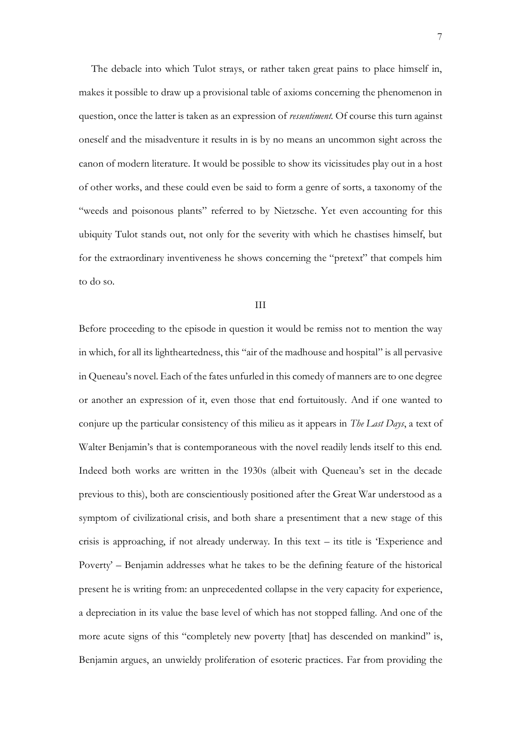The debacle into which Tulot strays, or rather taken great pains to place himself in, makes it possible to draw up a provisional table of axioms concerning the phenomenon in question, once the latter is taken as an expression of *ressentiment*. Of course this turn against oneself and the misadventure it results in is by no means an uncommon sight across the canon of modern literature. It would be possible to show its vicissitudes play out in a host of other works, and these could even be said to form a genre of sorts, a taxonomy of the "weeds and poisonous plants" referred to by Nietzsche. Yet even accounting for this ubiquity Tulot stands out, not only for the severity with which he chastises himself, but for the extraordinary inventiveness he shows concerning the "pretext" that compels him to do so.

#### III

Before proceeding to the episode in question it would be remiss not to mention the way in which, for all its lightheartedness, this "air of the madhouse and hospital" is all pervasive in Queneau's novel. Each of the fates unfurled in this comedy of manners are to one degree or another an expression of it, even those that end fortuitously. And if one wanted to conjure up the particular consistency of this milieu as it appears in *The Last Days*, a text of Walter Benjamin's that is contemporaneous with the novel readily lends itself to this end. Indeed both works are written in the 1930s (albeit with Queneau's set in the decade previous to this), both are conscientiously positioned after the Great War understood as a symptom of civilizational crisis, and both share a presentiment that a new stage of this crisis is approaching, if not already underway. In this text – its title is 'Experience and Poverty' – Benjamin addresses what he takes to be the defining feature of the historical present he is writing from: an unprecedented collapse in the very capacity for experience, a depreciation in its value the base level of which has not stopped falling. And one of the more acute signs of this "completely new poverty [that] has descended on mankind" is, Benjamin argues, an unwieldy proliferation of esoteric practices. Far from providing the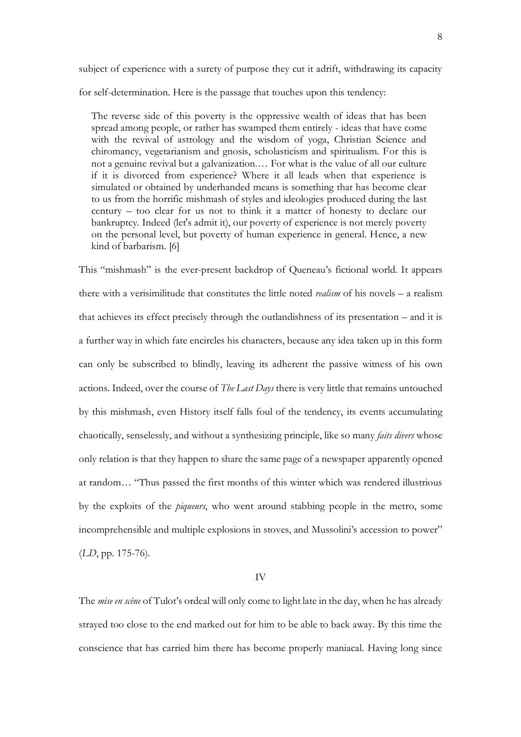subject of experience with a surety of purpose they cut it adrift, withdrawing its capacity for self-determination. Here is the passage that touches upon this tendency:

The reverse side of this poverty is the oppressive wealth of ideas that has been spread among people, or rather has swamped them entirely - ideas that have come with the revival of astrology and the wisdom of yoga, Christian Science and chiromancy, vegetarianism and gnosis, scholasticism and spiritualism. For this is not a genuine revival but a galvanization.… For what is the value of all our culture if it is divorced from experience? Where it all leads when that experience is simulated or obtained by underhanded means is something that has become clear to us from the horrific mishmash of styles and ideologies produced during the last century – too clear for us not to think it a matter of honesty to declare our bankruptcy. Indeed (let's admit it), our poverty of experience is not merely poverty on the personal level, but poverty of human experience in general. Hence, a new kind of barbarism. [6]

This "mishmash" is the ever-present backdrop of Queneau's fictional world. It appears there with a verisimilitude that constitutes the little noted *realism* of his novels – a realism that achieves its effect precisely through the outlandishness of its presentation – and it is a further way in which fate encircles his characters, because any idea taken up in this form can only be subscribed to blindly, leaving its adherent the passive witness of his own actions. Indeed, over the course of *The Last Days* there is very little that remains untouched by this mishmash, even History itself falls foul of the tendency, its events accumulating chaotically, senselessly, and without a synthesizing principle, like so many *faits divers* whose only relation is that they happen to share the same page of a newspaper apparently opened at random… "Thus passed the first months of this winter which was rendered illustrious by the exploits of the *piqueurs*, who went around stabbing people in the metro, some incomprehensible and multiple explosions in stoves, and Mussolini's accession to power" (*LD*, pp. 175-76).

#### IV

The *mise en scène* of Tulot's ordeal will only come to light late in the day, when he has already strayed too close to the end marked out for him to be able to back away. By this time the conscience that has carried him there has become properly maniacal. Having long since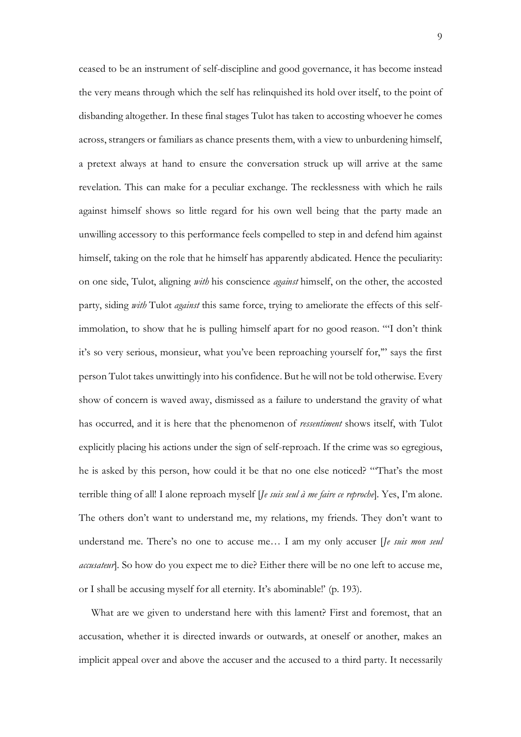ceased to be an instrument of self-discipline and good governance, it has become instead the very means through which the self has relinquished its hold over itself, to the point of disbanding altogether. In these final stages Tulot has taken to accosting whoever he comes across, strangers or familiars as chance presents them, with a view to unburdening himself, a pretext always at hand to ensure the conversation struck up will arrive at the same revelation. This can make for a peculiar exchange. The recklessness with which he rails against himself shows so little regard for his own well being that the party made an unwilling accessory to this performance feels compelled to step in and defend him against himself, taking on the role that he himself has apparently abdicated. Hence the peculiarity: on one side, Tulot, aligning *with* his conscience *against* himself, on the other, the accosted party, siding *with* Tulot *against* this same force, trying to ameliorate the effects of this selfimmolation, to show that he is pulling himself apart for no good reason. "'I don't think it's so very serious, monsieur, what you've been reproaching yourself for,'" says the first person Tulot takes unwittingly into his confidence. But he will not be told otherwise. Every show of concern is waved away, dismissed as a failure to understand the gravity of what has occurred, and it is here that the phenomenon of *ressentiment* shows itself, with Tulot explicitly placing his actions under the sign of self-reproach. If the crime was so egregious, he is asked by this person, how could it be that no one else noticed? "'That's the most terrible thing of all! I alone reproach myself [*Je suis seul à me faire ce reproche*]. Yes, I'm alone. The others don't want to understand me, my relations, my friends. They don't want to understand me. There's no one to accuse me… I am my only accuser [*Je suis mon seul accusateur*]. So how do you expect me to die? Either there will be no one left to accuse me, or I shall be accusing myself for all eternity. It's abominable!' (p. 193).

What are we given to understand here with this lament? First and foremost, that an accusation, whether it is directed inwards or outwards, at oneself or another, makes an implicit appeal over and above the accuser and the accused to a third party. It necessarily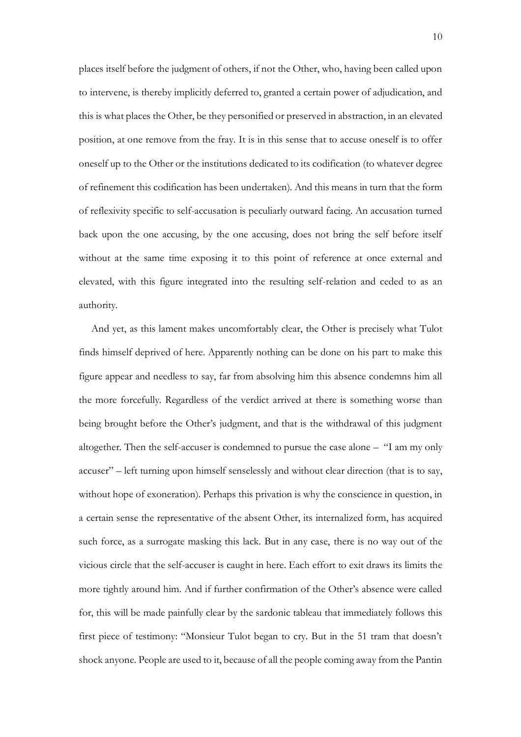places itself before the judgment of others, if not the Other, who, having been called upon to intervene, is thereby implicitly deferred to, granted a certain power of adjudication, and this is what places the Other, be they personified or preserved in abstraction, in an elevated position, at one remove from the fray. It is in this sense that to accuse oneself is to offer oneself up to the Other or the institutions dedicated to its codification (to whatever degree of refinement this codification has been undertaken). And this means in turn that the form of reflexivity specific to self-accusation is peculiarly outward facing. An accusation turned back upon the one accusing, by the one accusing, does not bring the self before itself without at the same time exposing it to this point of reference at once external and elevated, with this figure integrated into the resulting self-relation and ceded to as an authority.

And yet, as this lament makes uncomfortably clear, the Other is precisely what Tulot finds himself deprived of here. Apparently nothing can be done on his part to make this figure appear and needless to say, far from absolving him this absence condemns him all the more forcefully. Regardless of the verdict arrived at there is something worse than being brought before the Other's judgment, and that is the withdrawal of this judgment altogether. Then the self-accuser is condemned to pursue the case alone – "I am my only accuser" – left turning upon himself senselessly and without clear direction (that is to say, without hope of exoneration). Perhaps this privation is why the conscience in question, in a certain sense the representative of the absent Other, its internalized form, has acquired such force, as a surrogate masking this lack. But in any case, there is no way out of the vicious circle that the self-accuser is caught in here. Each effort to exit draws its limits the more tightly around him. And if further confirmation of the Other's absence were called for, this will be made painfully clear by the sardonic tableau that immediately follows this first piece of testimony: "Monsieur Tulot began to cry. But in the 51 tram that doesn't shock anyone. People are used to it, because of all the people coming away from the Pantin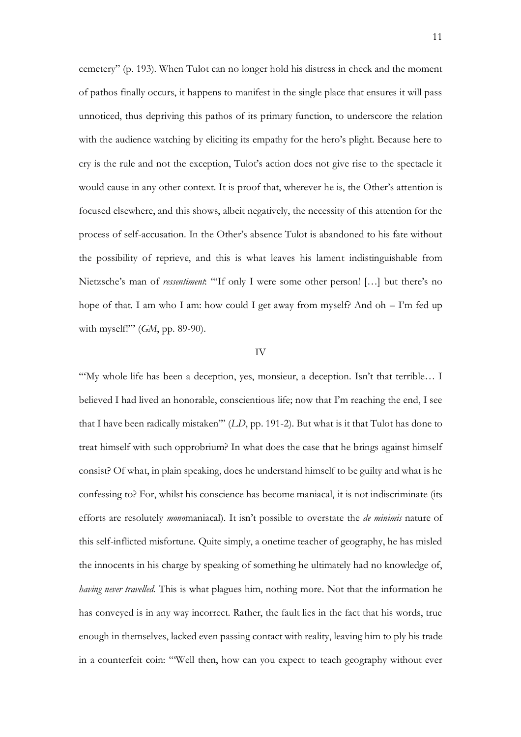cemetery" (p. 193). When Tulot can no longer hold his distress in check and the moment of pathos finally occurs, it happens to manifest in the single place that ensures it will pass unnoticed, thus depriving this pathos of its primary function, to underscore the relation with the audience watching by eliciting its empathy for the hero's plight. Because here to cry is the rule and not the exception, Tulot's action does not give rise to the spectacle it would cause in any other context. It is proof that, wherever he is, the Other's attention is focused elsewhere, and this shows, albeit negatively, the necessity of this attention for the process of self-accusation. In the Other's absence Tulot is abandoned to his fate without the possibility of reprieve, and this is what leaves his lament indistinguishable from Nietzsche's man of *ressentiment*: "'If only I were some other person! […] but there's no hope of that. I am who I am: how could I get away from myself? And oh – I'm fed up with myself!'" (*GM*, pp. 89-90).

#### IV

"'My whole life has been a deception, yes, monsieur, a deception. Isn't that terrible… I believed I had lived an honorable, conscientious life; now that I'm reaching the end, I see that I have been radically mistaken'" (*LD*, pp. 191-2). But what is it that Tulot has done to treat himself with such opprobrium? In what does the case that he brings against himself consist? Of what, in plain speaking, does he understand himself to be guilty and what is he confessing to? For, whilst his conscience has become maniacal, it is not indiscriminate (its efforts are resolutely *mono*maniacal). It isn't possible to overstate the *de minimis* nature of this self-inflicted misfortune. Quite simply, a onetime teacher of geography, he has misled the innocents in his charge by speaking of something he ultimately had no knowledge of, *having never travelled.* This is what plagues him, nothing more. Not that the information he has conveyed is in any way incorrect. Rather, the fault lies in the fact that his words, true enough in themselves, lacked even passing contact with reality, leaving him to ply his trade in a counterfeit coin: "'Well then, how can you expect to teach geography without ever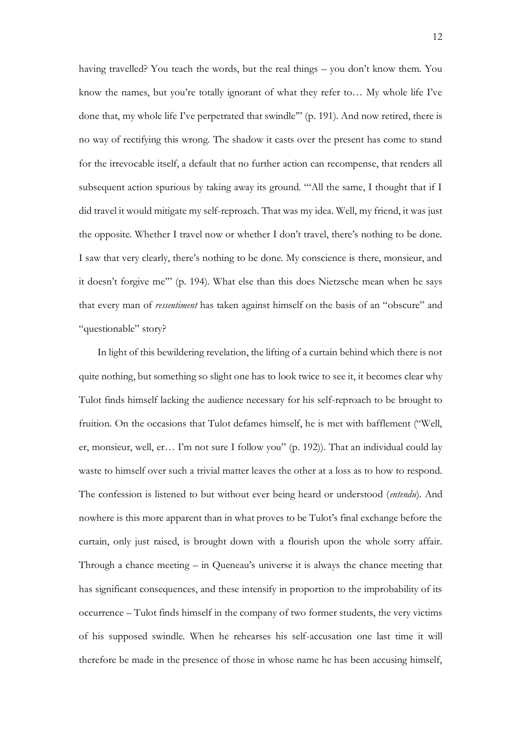having travelled? You teach the words, but the real things – you don't know them. You know the names, but you're totally ignorant of what they refer to… My whole life I've done that, my whole life I've perpetrated that swindle'" (p. 191). And now retired, there is no way of rectifying this wrong. The shadow it casts over the present has come to stand for the irrevocable itself, a default that no further action can recompense, that renders all subsequent action spurious by taking away its ground. "'All the same, I thought that if I did travel it would mitigate my self-reproach. That was my idea. Well, my friend, it was just the opposite. Whether I travel now or whether I don't travel, there's nothing to be done. I saw that very clearly, there's nothing to be done. My conscience is there, monsieur, and it doesn't forgive me'" (p. 194). What else than this does Nietzsche mean when he says that every man of *ressentiment* has taken against himself on the basis of an "obscure" and "questionable" story?

In light of this bewildering revelation, the lifting of a curtain behind which there is not quite nothing, but something so slight one has to look twice to see it, it becomes clear why Tulot finds himself lacking the audience necessary for his self-reproach to be brought to fruition. On the occasions that Tulot defames himself, he is met with bafflement ("Well, er, monsieur, well, er… I'm not sure I follow you" (p. 192)). That an individual could lay waste to himself over such a trivial matter leaves the other at a loss as to how to respond. The confession is listened to but without ever being heard or understood (*entendu*). And nowhere is this more apparent than in what proves to be Tulot's final exchange before the curtain, only just raised, is brought down with a flourish upon the whole sorry affair. Through a chance meeting – in Queneau's universe it is always the chance meeting that has significant consequences, and these intensify in proportion to the improbability of its occurrence – Tulot finds himself in the company of two former students, the very victims of his supposed swindle. When he rehearses his self-accusation one last time it will therefore be made in the presence of those in whose name he has been accusing himself,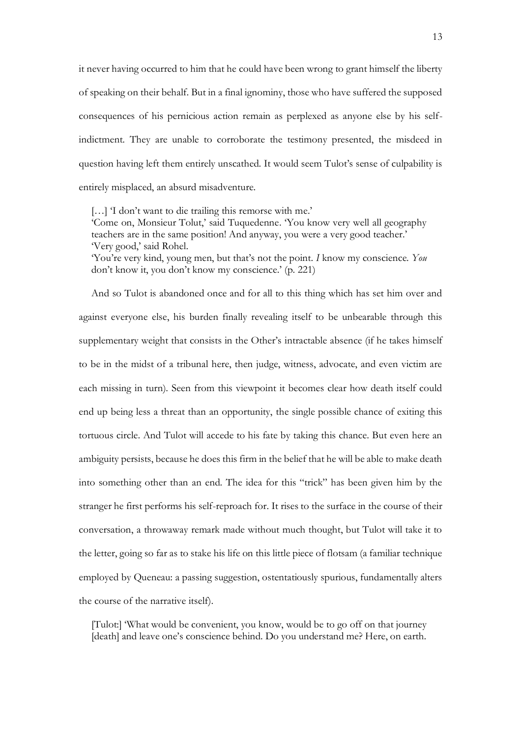it never having occurred to him that he could have been wrong to grant himself the liberty of speaking on their behalf. But in a final ignominy, those who have suffered the supposed consequences of his pernicious action remain as perplexed as anyone else by his selfindictment. They are unable to corroborate the testimony presented, the misdeed in question having left them entirely unscathed. It would seem Tulot's sense of culpability is entirely misplaced, an absurd misadventure.

[...] 'I don't want to die trailing this remorse with me.' 'Come on, Monsieur Tolut,' said Tuquedenne. 'You know very well all geography teachers are in the same position! And anyway, you were a very good teacher.' 'Very good,' said Rohel. 'You're very kind, young men, but that's not the point. *I* know my conscience. *You*

don't know it, you don't know my conscience.' (p. 221)

And so Tulot is abandoned once and for all to this thing which has set him over and against everyone else, his burden finally revealing itself to be unbearable through this supplementary weight that consists in the Other's intractable absence (if he takes himself to be in the midst of a tribunal here, then judge, witness, advocate, and even victim are each missing in turn). Seen from this viewpoint it becomes clear how death itself could end up being less a threat than an opportunity, the single possible chance of exiting this tortuous circle. And Tulot will accede to his fate by taking this chance. But even here an ambiguity persists, because he does this firm in the belief that he will be able to make death into something other than an end. The idea for this "trick" has been given him by the stranger he first performs his self-reproach for. It rises to the surface in the course of their conversation, a throwaway remark made without much thought, but Tulot will take it to the letter, going so far as to stake his life on this little piece of flotsam (a familiar technique employed by Queneau: a passing suggestion, ostentatiously spurious, fundamentally alters the course of the narrative itself).

[Tulot:] 'What would be convenient, you know, would be to go off on that journey [death] and leave one's conscience behind. Do you understand me? Here, on earth.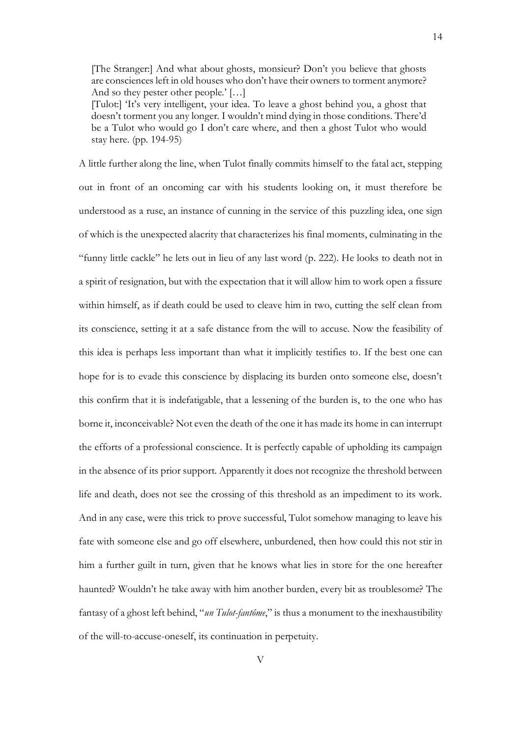[The Stranger:] And what about ghosts, monsieur? Don't you believe that ghosts are consciences left in old houses who don't have their owners to torment anymore? And so they pester other people.' […]

[Tulot:] 'It's very intelligent, your idea. To leave a ghost behind you, a ghost that doesn't torment you any longer. I wouldn't mind dying in those conditions. There'd be a Tulot who would go I don't care where, and then a ghost Tulot who would stay here. (pp. 194-95)

A little further along the line, when Tulot finally commits himself to the fatal act, stepping out in front of an oncoming car with his students looking on, it must therefore be understood as a ruse, an instance of cunning in the service of this puzzling idea, one sign of which is the unexpected alacrity that characterizes his final moments, culminating in the "funny little cackle" he lets out in lieu of any last word (p. 222). He looks to death not in a spirit of resignation, but with the expectation that it will allow him to work open a fissure within himself, as if death could be used to cleave him in two, cutting the self clean from its conscience, setting it at a safe distance from the will to accuse. Now the feasibility of this idea is perhaps less important than what it implicitly testifies to. If the best one can hope for is to evade this conscience by displacing its burden onto someone else, doesn't this confirm that it is indefatigable, that a lessening of the burden is, to the one who has borne it, inconceivable? Not even the death of the one it has made its home in can interrupt the efforts of a professional conscience. It is perfectly capable of upholding its campaign in the absence of its prior support. Apparently it does not recognize the threshold between life and death, does not see the crossing of this threshold as an impediment to its work. And in any case, were this trick to prove successful, Tulot somehow managing to leave his fate with someone else and go off elsewhere, unburdened, then how could this not stir in him a further guilt in turn, given that he knows what lies in store for the one hereafter haunted? Wouldn't he take away with him another burden, every bit as troublesome? The fantasy of a ghost left behind, "*un Tulot*-*fantôme*," is thus a monument to the inexhaustibility of the will-to-accuse-oneself, its continuation in perpetuity.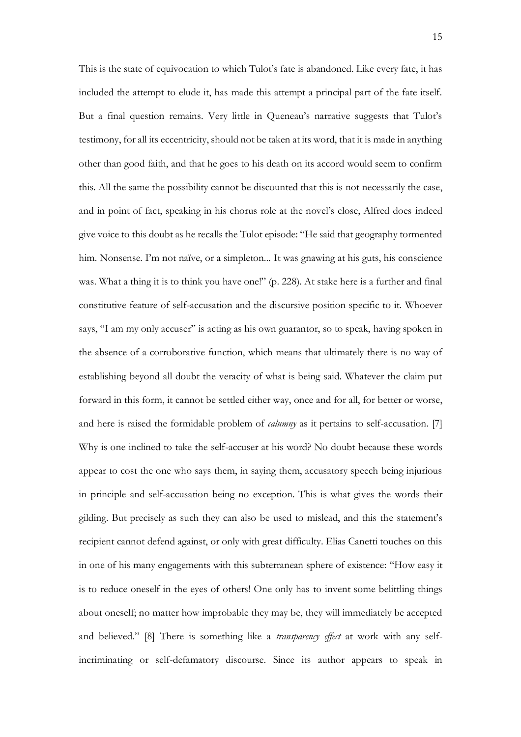This is the state of equivocation to which Tulot's fate is abandoned. Like every fate, it has included the attempt to elude it, has made this attempt a principal part of the fate itself. But a final question remains. Very little in Queneau's narrative suggests that Tulot's testimony, for all its eccentricity, should not be taken at its word, that it is made in anything other than good faith, and that he goes to his death on its accord would seem to confirm this. All the same the possibility cannot be discounted that this is not necessarily the case, and in point of fact, speaking in his chorus role at the novel's close, Alfred does indeed give voice to this doubt as he recalls the Tulot episode: "He said that geography tormented him. Nonsense. I'm not naïve, or a simpleton... It was gnawing at his guts, his conscience was. What a thing it is to think you have one!" (p. 228). At stake here is a further and final constitutive feature of self-accusation and the discursive position specific to it. Whoever says, "I am my only accuser" is acting as his own guarantor, so to speak, having spoken in the absence of a corroborative function, which means that ultimately there is no way of establishing beyond all doubt the veracity of what is being said. Whatever the claim put forward in this form, it cannot be settled either way, once and for all, for better or worse, and here is raised the formidable problem of *calumny* as it pertains to self-accusation. [7] Why is one inclined to take the self-accuser at his word? No doubt because these words appear to cost the one who says them, in saying them, accusatory speech being injurious in principle and self-accusation being no exception. This is what gives the words their gilding. But precisely as such they can also be used to mislead, and this the statement's recipient cannot defend against, or only with great difficulty. Elias Canetti touches on this in one of his many engagements with this subterranean sphere of existence: "How easy it is to reduce oneself in the eyes of others! One only has to invent some belittling things about oneself; no matter how improbable they may be, they will immediately be accepted and believed." [8] There is something like a *transparency effect* at work with any selfincriminating or self-defamatory discourse. Since its author appears to speak in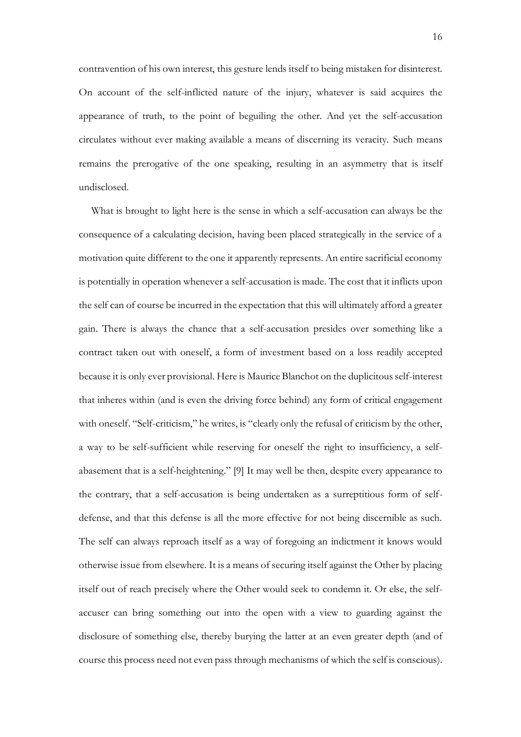contravention of his own interest, this gesture lends itself to being mistaken for disinterest. On account of the self-inflicted nature of the injury, whatever is said acquires the appearance of truth, to the point of beguiling the other. And yet the self-accusation circulates without ever making available a means of discerning its veracity. Such means remains the prerogative of the one speaking, resulting in an asymmetry that is itself undisclosed.

What is brought to light here is the sense in which a self-accusation can always be the consequence of a calculating decision, having been placed strategically in the service of a motivation quite different to the one it apparently represents. An entire sacrificial economy is potentially in operation whenever a self-accusation is made. The cost that it inflicts upon the self can of course be incurred in the expectation that this will ultimately afford a greater gain. There is always the chance that a self-accusation presides over something like a contract taken out with oneself, a form of investment based on a loss readily accepted because it is only ever provisional. Here is Maurice Blanchot on the duplicitous self-interest that inheres within (and is even the driving force behind) any form of critical engagement with oneself. "Self-criticism," he writes, is "clearly only the refusal of criticism by the other, a way to be self-sufficient while reserving for oneself the right to insufficiency, a selfabasement that is a self-heightening." [9] It may well be then, despite every appearance to the contrary, that a self-accusation is being undertaken as a surreptitious form of selfdefense, and that this defense is all the more effective for not being discernible as such. The self can always reproach itself as a way of foregoing an indictment it knows would otherwise issue from elsewhere. It is a means of securing itself against the Other by placing itself out of reach precisely where the Other would seek to condemn it. Or else, the selfaccuser can bring something out into the open with a view to guarding against the disclosure of something else, thereby burying the latter at an even greater depth (and of course this process need not even pass through mechanisms of which the self is conscious).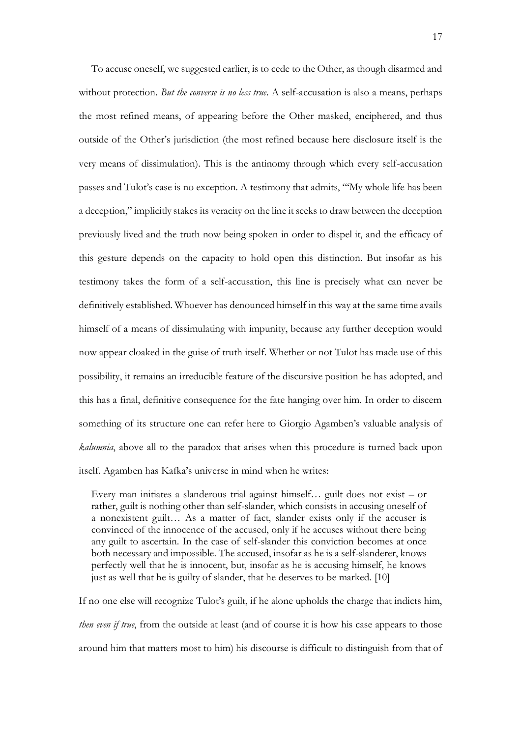To accuse oneself, we suggested earlier, is to cede to the Other, as though disarmed and without protection. *But the converse is no less true*. A self-accusation is also a means, perhaps the most refined means, of appearing before the Other masked, enciphered, and thus outside of the Other's jurisdiction (the most refined because here disclosure itself is the very means of dissimulation). This is the antinomy through which every self-accusation passes and Tulot's case is no exception. A testimony that admits, "'My whole life has been a deception," implicitly stakes its veracity on the line it seeks to draw between the deception previously lived and the truth now being spoken in order to dispel it, and the efficacy of this gesture depends on the capacity to hold open this distinction. But insofar as his testimony takes the form of a self-accusation, this line is precisely what can never be definitively established. Whoever has denounced himself in this way at the same time avails himself of a means of dissimulating with impunity, because any further deception would now appear cloaked in the guise of truth itself. Whether or not Tulot has made use of this possibility, it remains an irreducible feature of the discursive position he has adopted, and this has a final, definitive consequence for the fate hanging over him. In order to discern something of its structure one can refer here to Giorgio Agamben's valuable analysis of *kalumnia*, above all to the paradox that arises when this procedure is turned back upon itself. Agamben has Kafka's universe in mind when he writes:

Every man initiates a slanderous trial against himself… guilt does not exist – or rather, guilt is nothing other than self-slander, which consists in accusing oneself of a nonexistent guilt… As a matter of fact, slander exists only if the accuser is convinced of the innocence of the accused, only if he accuses without there being any guilt to ascertain. In the case of self-slander this conviction becomes at once both necessary and impossible. The accused, insofar as he is a self-slanderer, knows perfectly well that he is innocent, but, insofar as he is accusing himself, he knows just as well that he is guilty of slander, that he deserves to be marked. [10]

If no one else will recognize Tulot's guilt, if he alone upholds the charge that indicts him, *then even if true*, from the outside at least (and of course it is how his case appears to those around him that matters most to him) his discourse is difficult to distinguish from that of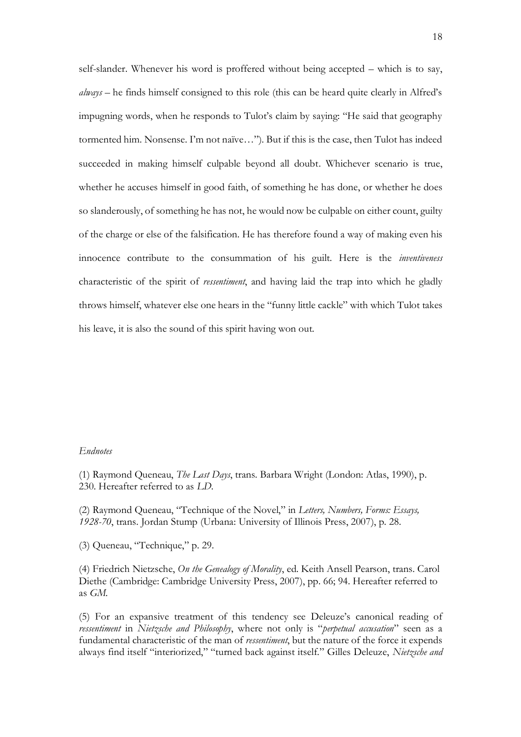self-slander. Whenever his word is proffered without being accepted – which is to say, *always* – he finds himself consigned to this role (this can be heard quite clearly in Alfred's impugning words, when he responds to Tulot's claim by saying: "He said that geography tormented him. Nonsense. I'm not naïve…"). But if this is the case, then Tulot has indeed succeeded in making himself culpable beyond all doubt. Whichever scenario is true, whether he accuses himself in good faith, of something he has done, or whether he does so slanderously, of something he has not, he would now be culpable on either count, guilty of the charge or else of the falsification. He has therefore found a way of making even his innocence contribute to the consummation of his guilt. Here is the *inventiveness* characteristic of the spirit of *ressentiment*, and having laid the trap into which he gladly throws himself, whatever else one hears in the "funny little cackle" with which Tulot takes his leave, it is also the sound of this spirit having won out.

#### *Endnotes*

(1) Raymond Queneau, *The Last Days*, trans. Barbara Wright (London: Atlas, 1990), p. 230. Hereafter referred to as *LD*.

(2) Raymond Queneau, "Technique of the Novel," in *Letters, Numbers, Forms: Essays, 1928-70*, trans. Jordan Stump (Urbana: University of Illinois Press, 2007), p. 28.

(3) Queneau, "Technique," p. 29.

(4) Friedrich Nietzsche, *On the Genealogy of Morality*, ed. Keith Ansell Pearson, trans. Carol Diethe (Cambridge: Cambridge University Press, 2007), pp. 66; 94. Hereafter referred to as *GM.*

(5) For an expansive treatment of this tendency see Deleuze's canonical reading of *ressentiment* in *Nietzsche and Philosophy*, where not only is "*perpetual accusation*" seen as a fundamental characteristic of the man of *ressentiment*, but the nature of the force it expends always find itself "interiorized," "turned back against itself." Gilles Deleuze, *Nietzsche and*